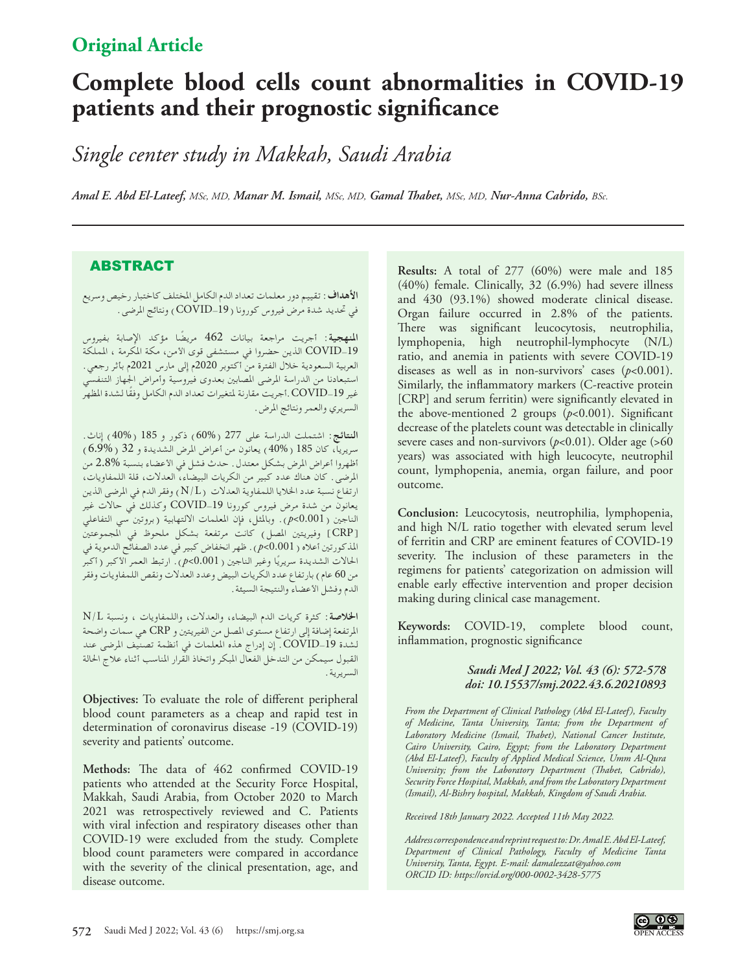# **Original Article**

# **Complete blood cells count abnormalities in COVID-19 patients and their prognostic significance**

*Single center study in Makkah, Saudi Arabia*

*Amal E. Abd El-Lateef, MSc, MD, Manar M. Ismail, MSc, MD, Gamal Thabet, MSc, MD, Nur-Anna Cabrido, BSc.*

## ABSTRACT

**األهداف:**تقييم دور معلمات تعداد الدم الكامل املختلف كاختبار رخيص وسريع في حتديد شدة مرض فيروس كورونا )-19COVID )ونتائج املرضى.

**املنهجية:** أجريت مراجعة بيانات 462 ً مريضا مؤكد اإلصابة بفيروس -19COVID الذين حضروا في مستشفى قوى األمن، مكة املكرمة ، اململكة العربية السعودية خالل الفترة من أكتوبر 2020م إلى مارس 2021م بأثر رجعي. استبعادنا من الدراسة املرضى املصابني بعدوى فيروسية وأمراض اجلهاز التنفسي غير COVID-19 .أجريت مقارنة لمتغيرات تعداد الدم الكامل وفقًا لشدة المظهر السريري والعمر ونتائج املرض.

ا**لنتائج**: اشتملت الدراسة على 277 (60%) ذكور و 185 (40%) إناث. ً سريريا، كان 185 )40%( يعانون من أعراض املرض الشديدة و 32 )6.9%( أظهروا أعراض المرض بشكل معتدل. حدث فشل في الأعضاء بنسبة %2.8 من املرضى. كان هناك عدد كبير من الكريات البيضاء، العدالت، قلة اللمفاويات، ارتفاع نسبة عدد اخلاليا اللمفاوية العدالت )L/N )وفقر الدم في املرضى الذين يعانون من شدة مرض فيروس كورونا -19COVID وكذلك في حاالت غير الناجني )0.001>*p*). وباملثل، فإن املعلمات االلتهابية )بروتني سي التفاعلي ]CRP ]وفيريتني املصل( كانت مرتفعة بشكل ملحوظ في املجموعتني املذكورتني أعاله )0.001>*p*). ظهر انخفاض كبير في عدد الصفائح الدموية في الحالات الشديدة سريريًا وغير الناجين ( <sub>P</sub><0.001). ارتبط العمر الأكبر ( أكبر من 60 عام) بارتفاع عدد الكريات البيض وعدد العدلات ونقص اللمفاويات وفقر الدم وفشل األعضاء والنتيجة السيئة.

**اخلالصة:** كثرة كريات الدم البيضاء، والعدالت، واللمفاويات ، ونسبة L/N املرتفعة إضافة إلى ارتفاع مستوى املصل من الفيريتني و CRP هي سمات واضحة لشدة COVID\_19. إن إدراج هذه المعلمات في أنظمة تصنيف المرضى عند القبول سيمكن من التدخل الفعال املبكر واتخاذ القرار املناسب أثناء عالج احلالة السريرية.

**Objectives:** To evaluate the role of different peripheral blood count parameters as a cheap and rapid test in determination of coronavirus disease -19 (COVID-19) severity and patients' outcome.

**Methods:** The data of 462 confirmed COVID-19 patients who attended at the Security Force Hospital, Makkah, Saudi Arabia, from October 2020 to March 2021 was retrospectively reviewed and C. Patients with viral infection and respiratory diseases other than COVID-19 were excluded from the study. Complete blood count parameters were compared in accordance with the severity of the clinical presentation, age, and disease outcome.

**Results:** A total of 277 (60%) were male and 185 (40%) female. Clinically, 32 (6.9%) had severe illness and 430 (93.1%) showed moderate clinical disease. Organ failure occurred in 2.8% of the patients. There was significant leucocytosis, neutrophilia, lymphopenia, high neutrophil-lymphocyte (N/L) ratio, and anemia in patients with severe COVID-19 diseases as well as in non-survivors' cases (*p*<0.001). Similarly, the inflammatory markers (C-reactive protein [CRP] and serum ferritin) were significantly elevated in the above-mentioned 2 groups (*p*<0.001). Significant decrease of the platelets count was detectable in clinically severe cases and non-survivors (*p*<0.01). Older age (>60 years) was associated with high leucocyte, neutrophil count, lymphopenia, anemia, organ failure, and poor outcome.

**Conclusion:** Leucocytosis, neutrophilia, lymphopenia, and high N/L ratio together with elevated serum level of ferritin and CRP are eminent features of COVID-19 severity. The inclusion of these parameters in the regimens for patients' categorization on admission will enable early effective intervention and proper decision making during clinical case management.

**Keywords:** COVID-19, complete blood count, inflammation, prognostic significance

#### *Saudi Med J 2022; Vol. 43 (6): 572-578 doi: 10.15537/smj.2022.43.6.20210893*

*From the Department of Clinical Pathology (Abd El-Lateef), Faculty of Medicine, Tanta University, Tanta; from the Department of Laboratory Medicine (Ismail, Thabet), National Cancer Institute, Cairo University, Cairo, Egypt; from the Laboratory Department (Abd El-Lateef), Faculty of Applied Medical Science, Umm Al-Qura University; from the Laboratory Department (Thabet, Cabrido), Security Force Hospital, Makkah, and from the Laboratory Department (Ismail), Al-Bishry hospital, Makkah, Kingdom of Saudi Arabia.*

*Received 18th January 2022. Accepted 11th May 2022.*

*Address correspondence and reprint request to: Dr. Amal E. Abd El-Lateef, Department of Clinical Pathology, Faculty of Medicine Tanta University, Tanta, Egypt. E-mail: damalezzat@yahoo.com ORCID ID: https://orcid.org/000-0002-3428-5775*

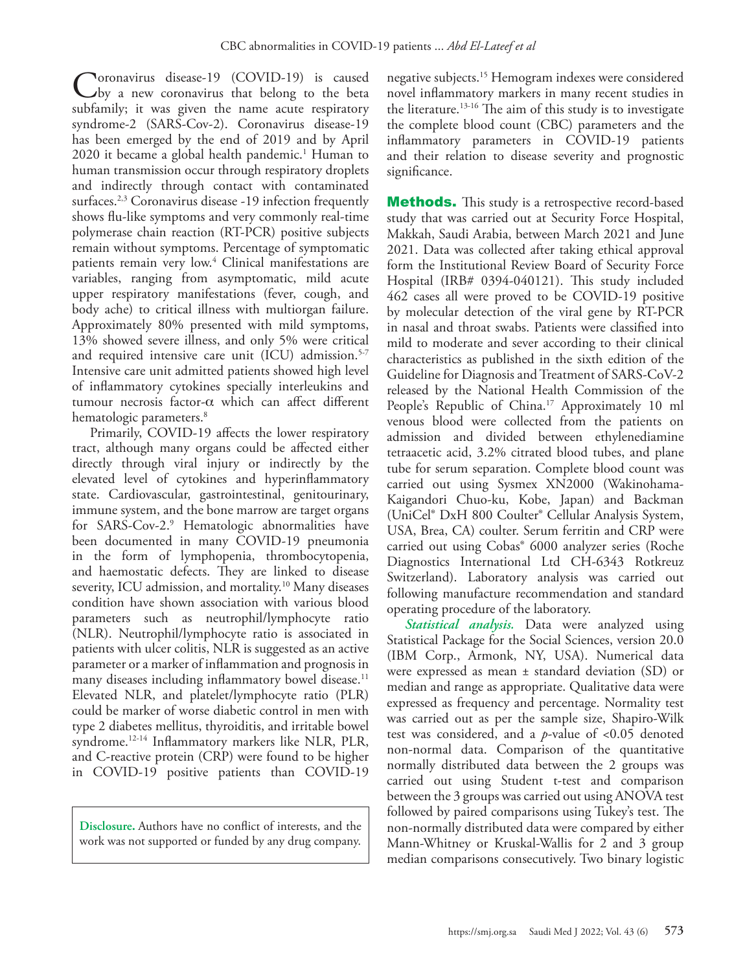Coronavirus disease-19 (COVID-19) is caused<br>subfamily it was given the name quite requirement subfamily; it was given the name acute respiratory syndrome-2 (SARS-Cov-2). Coronavirus disease-19 has been emerged by the end of 2019 and by April 2020 it became a global health pandemic.[1](#page-5-0) Human to human transmission occur through respiratory droplets and indirectly through contact with contaminated surfaces.<sup>2,[3](#page-5-2)</sup> Coronavirus disease -19 infection frequently shows flu-like symptoms and very commonly real-time polymerase chain reaction (RT-PCR) positive subjects remain without symptoms. Percentage of symptomatic patients remain very low.<sup>4</sup> Clinical manifestations are variables, ranging from asymptomatic, mild acute upper respiratory manifestations (fever, cough, and body ache) to critical illness with multiorgan failure. Approximately 80% presented with mild symptoms, 13% showed severe illness, and only 5% were critical and required intensive care unit (ICU) admission.<sup>5[-7](#page-5-5)</sup> Intensive care unit admitted patients showed high level of inflammatory cytokines specially interleukins and tumour necrosis factor-α which can affect different hematologic parameters.<sup>8</sup>

Primarily, COVID-19 affects the lower respiratory tract, although many organs could be affected either directly through viral injury or indirectly by the elevated level of cytokines and hyperinflammatory state. Cardiovascular, gastrointestinal, genitourinary, immune system, and the bone marrow are target organs for SARS-Cov-2.[9](#page-5-7) Hematologic abnormalities have been documented in many COVID-19 pneumonia in the form of lymphopenia, thrombocytopenia, and haemostatic defects. They are linked to disease severity, ICU admission, and mortality.<sup>[10](#page-5-8)</sup> Many diseases condition have shown association with various blood parameters such as neutrophil/lymphocyte ratio (NLR). Neutrophil/lymphocyte ratio is associated in patients with ulcer colitis, NLR is suggested as an active parameter or a marker of inflammation and prognosis in many diseases including inflammatory bowel disease.<sup>11</sup> Elevated NLR, and platelet/lymphocyte ratio (PLR) could be marker of worse diabetic control in men with type 2 diabetes mellitus, thyroiditis, and irritable bowel syndrome[.12-](#page-5-10)[14](#page-5-11) Inflammatory markers like NLR, PLR, and C-reactive protein (CRP) were found to be higher in COVID-19 positive patients than COVID-19

**Disclosure.** Authors have no conflict of interests, and the work was not supported or funded by any drug company.

negative subjects.[15](#page-5-12) Hemogram indexes were considered novel inflammatory markers in many recent studies in the literature.<sup>13-16</sup> The aim of this study is to investigate the complete blood count (CBC) parameters and the inflammatory parameters in COVID-19 patients and their relation to disease severity and prognostic significance.

**Methods.** This study is a retrospective record-based study that was carried out at Security Force Hospital, Makkah, Saudi Arabia, between March 2021 and June 2021. Data was collected after taking ethical approval form the Institutional Review Board of Security Force Hospital (IRB# 0394-040121). This study included 462 cases all were proved to be COVID-19 positive by molecular detection of the viral gene by RT-PCR in nasal and throat swabs. Patients were classified into mild to moderate and sever according to their clinical characteristics as published in the sixth edition of the Guideline for Diagnosis and Treatment of SARS-CoV-2 released by the National Health Commission of the People's Republic of China.<sup>17</sup> Approximately 10 ml venous blood were collected from the patients on admission and divided between ethylenediamine tetraacetic acid, 3.2% citrated blood tubes, and plane tube for serum separation. Complete blood count was carried out using Sysmex XN2000 (Wakinohama-Kaigandori Chuo-ku, Kobe, Japan) and Backman (UniCel® DxH 800 Coulter® Cellular Analysis System, USA, Brea, CA) coulter. Serum ferritin and CRP were carried out using Cobas® 6000 analyzer series (Roche Diagnostics International Ltd CH-6343 Rotkreuz Switzerland). Laboratory analysis was carried out following manufacture recommendation and standard operating procedure of the laboratory.

*Statistical analysis.* Data were analyzed using Statistical Package for the Social Sciences, version 20.0 (IBM Corp., Armonk, NY, USA). Numerical data were expressed as mean ± standard deviation (SD) or median and range as appropriate. Qualitative data were expressed as frequency and percentage. Normality test was carried out as per the sample size, Shapiro-Wilk test was considered, and a *p*-value of <0.05 denoted non-normal data. Comparison of the quantitative normally distributed data between the 2 groups was carried out using Student t-test and comparison between the 3 groups was carried out using ANOVA test followed by paired comparisons using Tukey's test. The non-normally distributed data were compared by either Mann-Whitney or Kruskal-Wallis for 2 and 3 group median comparisons consecutively. Two binary logistic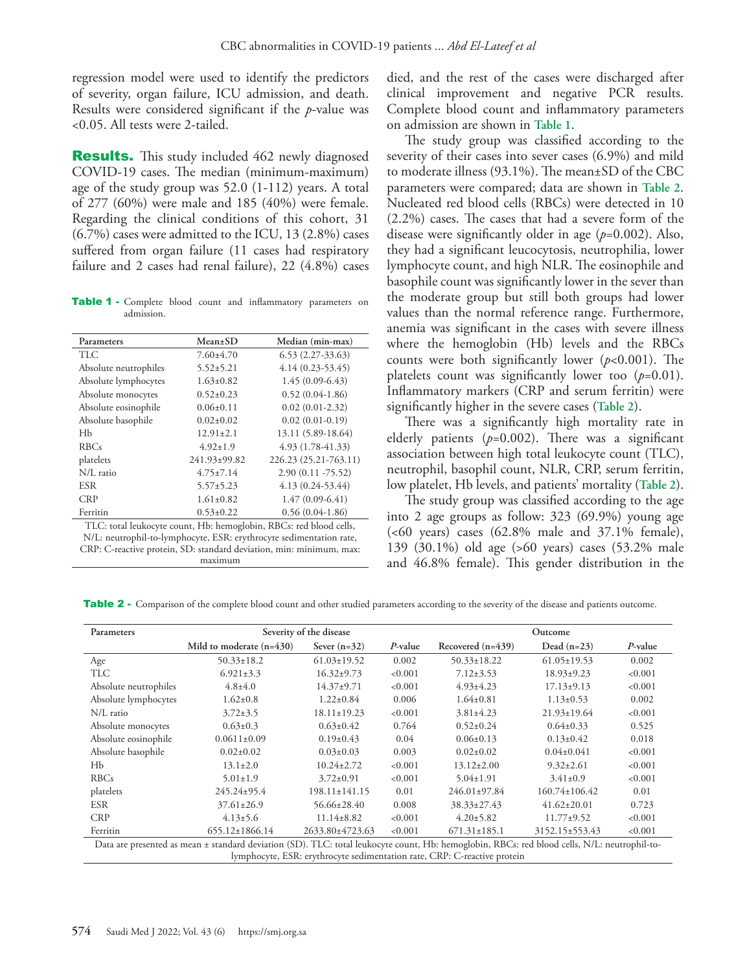regression model were used to identify the predictors of severity, organ failure, ICU admission, and death. Results were considered significant if the *p*-value was <0.05. All tests were 2-tailed.

**Results.** This study included 462 newly diagnosed COVID-19 cases. The median (minimum-maximum) age of the study group was 52.0 (1-112) years. A total of 277 (60%) were male and 185 (40%) were female. Regarding the clinical conditions of this cohort, 31 (6.7%) cases were admitted to the ICU, 13 (2.8%) cases suffered from organ failure (11 cases had respiratory failure and 2 cases had renal failure), 22 (4.8%) cases

Table 1 - Complete blood count and inflammatory parameters on admission.

| Parameters                                                         | $Mean \pm SD$   | Median (min-max)      |  |  |  |  |
|--------------------------------------------------------------------|-----------------|-----------------------|--|--|--|--|
| TLC.                                                               | $7.60 \pm 4.70$ | $(6.53(2.27-33.63))$  |  |  |  |  |
| Absolute neutrophiles                                              | $5.52 \pm 5.21$ | $4.14(0.23-53.45)$    |  |  |  |  |
| Absolute lymphocytes                                               | $1.63 \pm 0.82$ | $1.45(0.09-6.43)$     |  |  |  |  |
| Absolute monocytes                                                 | $0.52 \pm 0.23$ | $0.52(0.04-1.86)$     |  |  |  |  |
| Absolute eosinophile                                               | $0.06 \pm 0.11$ | $0.02(0.01-2.32)$     |  |  |  |  |
| Absolute basophile                                                 | $0.02 + 0.02$   | $0.02(0.01-0.19)$     |  |  |  |  |
| Нb                                                                 | $12.91 \pm 2.1$ | 13.11 (5.89-18.64)    |  |  |  |  |
| <b>RBCs</b>                                                        | $4.92 \pm 1.9$  | 4.93 (1.78-41.33)     |  |  |  |  |
| platelets                                                          | 241.93±99.82    | 226.23 (25.21-763.11) |  |  |  |  |
| N/L ratio                                                          | $4.75 \pm 7.14$ | $2.90(0.11 - 75.52)$  |  |  |  |  |
| <b>ESR</b>                                                         | $5.57 \pm 5.23$ | $4.13(0.24-53.44)$    |  |  |  |  |
| <b>CRP</b>                                                         | $1.61 \pm 0.82$ | $1.47(0.09-6.41)$     |  |  |  |  |
| Ferritin                                                           | $0.53 \pm 0.22$ | $0.56(0.04-1.86)$     |  |  |  |  |
| TLC: total leukocyte count, Hb: hemoglobin, RBCs: red blood cells, |                 |                       |  |  |  |  |

N/L: neutrophil-to-lymphocyte, ESR: erythrocyte sedimentation rate, CRP: C-reactive protein, SD: standard deviation, min: minimum, max: maximum

died, and the rest of the cases were discharged after clinical improvement and negative PCR results. Complete blood count and inflammatory parameters on admission are shown in **Table 1**.

The study group was classified according to the severity of their cases into sever cases (6.9%) and mild to moderate illness (93.1%). The mean±SD of the CBC parameters were compared; data are shown in **Table 2**. Nucleated red blood cells (RBCs) were detected in 10 (2.2%) cases. The cases that had a severe form of the disease were significantly older in age (*p*=0.002). Also, they had a significant leucocytosis, neutrophilia, lower lymphocyte count, and high NLR. The eosinophile and basophile count was significantly lower in the sever than the moderate group but still both groups had lower values than the normal reference range. Furthermore, anemia was significant in the cases with severe illness where the hemoglobin (Hb) levels and the RBCs counts were both significantly lower (*p*<0.001). The platelets count was significantly lower too  $(p=0.01)$ . Inflammatory markers (CRP and serum ferritin) were significantly higher in the severe cases (**Table 2**).

There was a significantly high mortality rate in elderly patients (*p*=0.002). There was a significant association between high total leukocyte count (TLC), neutrophil, basophil count, NLR, CRP, serum ferritin, low platelet, Hb levels, and patients' mortality (**Table 2**).

The study group was classified according to the age into 2 age groups as follow: 323 (69.9%) young age  $( $60$  years) cases  $(62.8\%$  male and  $37.1\%$  female),$ 139 (30.1%) old age (>60 years) cases (53.2% male and 46.8% female). This gender distribution in the

Table 2 - Comparison of the complete blood count and other studied parameters according to the severity of the disease and patients outcome.

| Parameters                                                                                                                                                                                                               |                            | Severity of the disease | Outcome    |                     |                     |         |  |  |
|--------------------------------------------------------------------------------------------------------------------------------------------------------------------------------------------------------------------------|----------------------------|-------------------------|------------|---------------------|---------------------|---------|--|--|
|                                                                                                                                                                                                                          | Mild to moderate $(n=430)$ | Sever $(n=32)$          | $P$ -value | Recovered $(n=439)$ | Dead $(n=23)$       | P-value |  |  |
| Age                                                                                                                                                                                                                      | $50.33 \pm 18.2$           | $61.03 \pm 19.52$       | 0.002      | $50.33 \pm 18.22$   | $61.05 \pm 19.53$   | 0.002   |  |  |
| <b>TLC</b>                                                                                                                                                                                                               | $6.921 \pm 3.3$            | $16.32 \pm 9.73$        | < 0.001    | $7.12 \pm 3.53$     | $18.93 \pm 9.23$    | < 0.001 |  |  |
| Absolute neutrophiles                                                                                                                                                                                                    | $4.8 \pm 4.0$              | $14.37 \pm 9.71$        | < 0.001    | $4.93 \pm 4.23$     | $17.13 \pm 9.13$    | < 0.001 |  |  |
| Absolute lymphocytes                                                                                                                                                                                                     | $1.62 \pm 0.8$             | $1.22 \pm 0.84$         | 0.006      | $1.64 \pm 0.81$     | $1.13 \pm 0.53$     | 0.002   |  |  |
| N/L ratio                                                                                                                                                                                                                | $3.72 \pm 3.5$             | $18.11 \pm 19.23$       | < 0.001    | $3.81 \pm 4.23$     | $21.93 \pm 19.64$   | < 0.001 |  |  |
| Absolute monocytes                                                                                                                                                                                                       | $0.63 \pm 0.3$             | $0.63 \pm 0.42$         | 0.764      | $0.52 \pm 0.24$     | $0.64 \pm 0.33$     | 0.525   |  |  |
| Absolute eosinophile                                                                                                                                                                                                     | $0.0611\pm0.09$            | $0.19\pm0.43$           | 0.04       | $0.06 \pm 0.13$     | $0.13 \pm 0.42$     | 0.018   |  |  |
| Absolute basophile                                                                                                                                                                                                       | $0.02 \pm 0.02$            | $0.03 \pm 0.03$         | 0.003      | $0.02 \pm 0.02$     | $0.04 \pm 0.041$    | < 0.001 |  |  |
| Hb                                                                                                                                                                                                                       | $13.1 \pm 2.0$             | $10.24 \pm 2.72$        | < 0.001    | $13.12 \pm 2.00$    | $9.32 \pm 2.61$     | < 0.001 |  |  |
| <b>RBCs</b>                                                                                                                                                                                                              | $5.01 \pm 1.9$             | $3.72 \pm 0.91$         | < 0.001    | $5.04 \pm 1.91$     | $3.41\pm0.9$        | < 0.001 |  |  |
| platelets                                                                                                                                                                                                                | $245.24 \pm 95.4$          | $198.11 \pm 141.15$     | 0.01       | $246.01 \pm 97.84$  | $160.74 \pm 106.42$ | 0.01    |  |  |
| <b>ESR</b>                                                                                                                                                                                                               | $37.61 \pm 26.9$           | $56.66 \pm 28.40$       | 0.008      | $38.33 \pm 27.43$   | $41.62 \pm 20.01$   | 0.723   |  |  |
| <b>CRP</b>                                                                                                                                                                                                               | $4.13 \pm 5.6$             | $11.14 \pm 8.82$        | < 0.001    | $4.20 \pm 5.82$     | $11.77 \pm 9.52$    | < 0.001 |  |  |
| Ferritin                                                                                                                                                                                                                 | $655.12 \pm 1866.14$       | 2633.80±4723.63         | < 0.001    | $671.31 \pm 185.1$  | 3152.15±553.43      | < 0.001 |  |  |
| Data are presented as mean ± standard deviation (SD). TLC: total leukocyte count, Hb: hemoglobin, RBCs: red blood cells, N/L: neutrophil-to-<br>lymphocyte, ESR: erythrocyte sedimentation rate, CRP: C-reactive protein |                            |                         |            |                     |                     |         |  |  |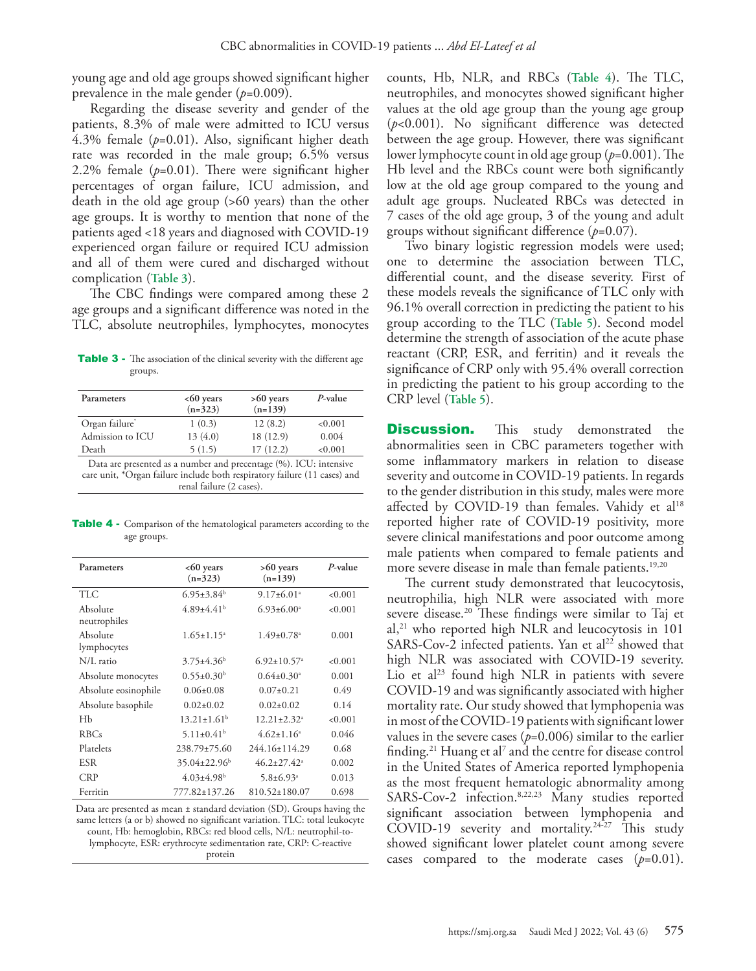young age and old age groups showed significant higher prevalence in the male gender (*p*=0.009).

Regarding the disease severity and gender of the patients, 8.3% of male were admitted to ICU versus 4.3% female (*p*=0.01). Also, significant higher death rate was recorded in the male group; 6.5% versus 2.2% female (*p*=0.01). There were significant higher percentages of organ failure, ICU admission, and death in the old age group (>60 years) than the other age groups. It is worthy to mention that none of the patients aged <18 years and diagnosed with COVID-19 experienced organ failure or required ICU admission and all of them were cured and discharged without complication (**Table 3**).

The CBC findings were compared among these 2 age groups and a significant difference was noted in the TLC, absolute neutrophiles, lymphocytes, monocytes

Table 3 - The association of the clinical severity with the different age groups.

| Parameters                                                                                                                                                                 | $<60$ years<br>$(n=323)$      | $>60$ years<br>$(n=139)$ | $P$ -value |  |  |  |  |
|----------------------------------------------------------------------------------------------------------------------------------------------------------------------------|-------------------------------|--------------------------|------------|--|--|--|--|
| Organ failure*                                                                                                                                                             | 12(8.2)<br>1(0.3)<br>< 0.001  |                          |            |  |  |  |  |
| Admission to ICU                                                                                                                                                           | 13(4.0)                       | 18 (12.9)                | 0.004      |  |  |  |  |
| Death                                                                                                                                                                      | 17(12.2)<br>5(1.5)<br>< 0.001 |                          |            |  |  |  |  |
| Data are presented as a number and precentage (%). ICU: intensive<br>care unit, *Organ failure include both respiratory failure (11 cases) and<br>renal failure (2 cases). |                               |                          |            |  |  |  |  |

Table 4 - Comparison of the hematological parameters according to the age groups.

| Parameters               | $<60$ years<br>$(n=323)$     | $>60$ years<br>$(n=139)$      | $P$ -value |
|--------------------------|------------------------------|-------------------------------|------------|
| <b>TLC</b>               | $6.95 \pm 3.84$ <sup>b</sup> | $9.17 \pm 6.01$ <sup>a</sup>  | < 0.001    |
| Absolute<br>neutrophiles | $4.89{\pm}4.41^{\rm b}$      | $6.93 \pm 6.00^{\circ}$       | < 0.001    |
| Absolute<br>lymphocytes  | $1.65 \pm 1.15^a$            | $1.49 \pm 0.78$ <sup>a</sup>  | 0.001      |
| N/L ratio                | $3.75 \pm 4.36$              | $6.92 \pm 10.57$ <sup>a</sup> | < 0.001    |
| Absolute monocytes       | $0.55 \pm 0.30^b$            | $0.64 \pm 0.30$ <sup>a</sup>  | 0.001      |
| Absolute eosinophile     | $0.06 \pm 0.08$              | $0.07 \pm 0.21$               | 0.49       |
| Absolute basophile       | $0.02 + 0.02$                | $0.02 + 0.02$                 | 0.14       |
| Hb                       | $13.21 \pm 1.61^b$           | $12.21 \pm 2.32$ <sup>a</sup> | < 0.001    |
| <b>RBCs</b>              | $5.11 \pm 0.41$ <sup>b</sup> | $4.62+1.16^a$                 | 0.046      |
| Platelets                | 238.79±75.60                 | 244.16±114.29                 | 0.68       |
| <b>ESR</b>               | $35.04 \pm 22.96$            | $46.2 \pm 27.42$ <sup>a</sup> | 0.002      |
| <b>CRP</b>               | $4.03{\pm}4.98^{\rm b}$      | $5.8 \pm 6.93$ <sup>a</sup>   | 0.013      |
| Ferritin                 | 777.82±137.26                | 810.52±180.07                 | 0.698      |

Data are presented as mean ± standard deviation (SD). Groups having the same letters (a or b) showed no significant variation. TLC: total leukocyte count, Hb: hemoglobin, RBCs: red blood cells, N/L: neutrophil-tolymphocyte, ESR: erythrocyte sedimentation rate, CRP: C-reactive protein

counts, Hb, NLR, and RBCs (**Table 4**). The TLC, neutrophiles, and monocytes showed significant higher values at the old age group than the young age group (*p*<0.001). No significant difference was detected between the age group. However, there was significant lower lymphocyte count in old age group (*p*=0.001). The Hb level and the RBCs count were both significantly low at the old age group compared to the young and adult age groups. Nucleated RBCs was detected in 7 cases of the old age group, 3 of the young and adult groups without significant difference (*p*=0.07).

Two binary logistic regression models were used; one to determine the association between TLC, differential count, and the disease severity. First of these models reveals the significance of TLC only with 96.1% overall correction in predicting the patient to his group according to the TLC (**Table 5**). Second model determine the strength of association of the acute phase reactant (CRP, ESR, and ferritin) and it reveals the significance of CRP only with 95.4% overall correction in predicting the patient to his group according to the CRP level (**Table 5**).

**Discussion.** This study demonstrated the abnormalities seen in CBC parameters together with some inflammatory markers in relation to disease severity and outcome in COVID-19 patients. In regards to the gender distribution in this study, males were more affected by COVID-19 than females. Vahidy et al<sup>18</sup> reported higher rate of COVID-19 positivity, more severe clinical manifestations and poor outcome among male patients when compared to female patients and more severe disease in male than female patients.<sup>19,[20](#page-5-18)</sup>

The current study demonstrated that leucocytosis, neutrophilia, high NLR were associated with more severe disease[.20](#page-5-18) These findings were similar to Taj et  $al$ ,<sup>[21](#page-6-0)</sup> who reported high NLR and leucocytosis in 101 SARS-Cov-2 infected patients. Yan et  $al^{22}$  $al^{22}$  $al^{22}$  showed that high NLR was associated with COVID-19 severity. Lio et al<sup>23</sup> found high NLR in patients with severe COVID-19 and was significantly associated with higher mortality rate. Our study showed that lymphopenia was in most of the COVID-19 patients with significant lower values in the severe cases  $(p=0.006)$  similar to the earlier finding.<sup>21</sup> Huang et al<sup>7</sup> and the centre for disease control in the United States of America reported lymphopenia as the most frequent hematologic abnormality among SARS-Cov-2 infection.[8](#page-5-6)[,22](#page-6-1)[,23](#page-6-2) Many studies reported significant association between lymphopenia and COVID-19 severity and mortality.<sup>24-[27](#page-6-4)</sup> This study showed significant lower platelet count among severe cases compared to the moderate cases  $(p=0.01)$ .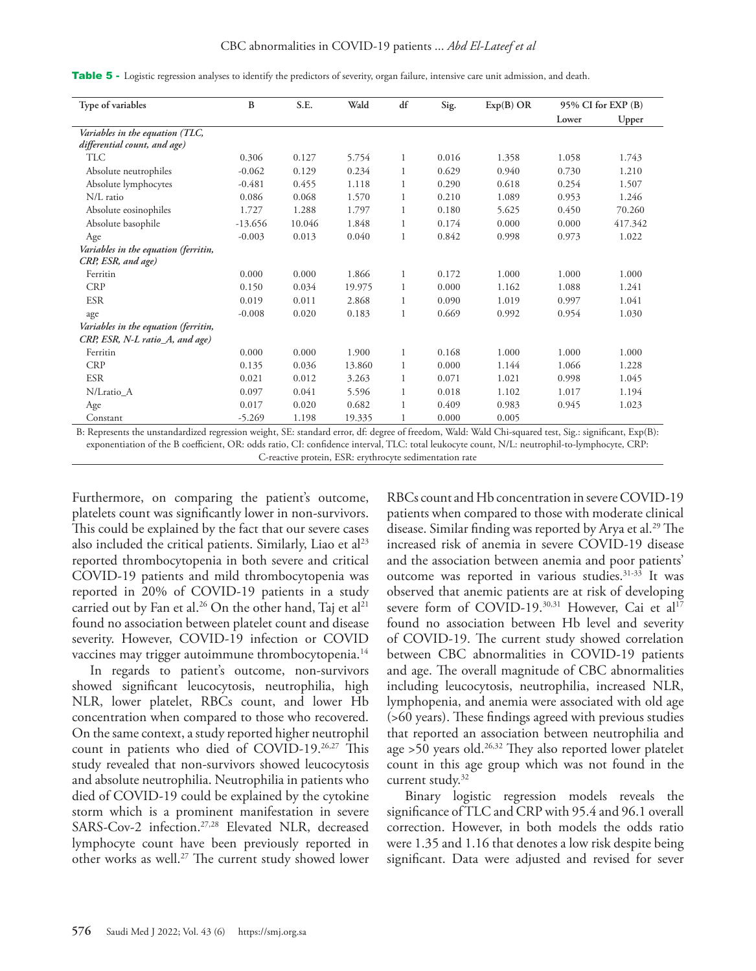#### CBC abnormalities in COVID-19 patients ... *Abd El-Lateef et al*

|  |  | Table 5 - Logistic regression analyses to identify the predictors of severity, organ failure, intensive care unit admission, and death. |  |  |  |  |  |  |  |  |
|--|--|-----------------------------------------------------------------------------------------------------------------------------------------|--|--|--|--|--|--|--|--|
|--|--|-----------------------------------------------------------------------------------------------------------------------------------------|--|--|--|--|--|--|--|--|

| Type of variables                                          | B         | S.E.   | Wald   | df | Sig.  | $Exp(B)$ OR | 95% CI for EXP (B) |         |
|------------------------------------------------------------|-----------|--------|--------|----|-------|-------------|--------------------|---------|
|                                                            |           |        |        |    |       |             | Lower              | Upper   |
| Variables in the equation (TLC,                            |           |        |        |    |       |             |                    |         |
| differential count, and age)                               |           |        |        |    |       |             |                    |         |
| <b>TLC</b>                                                 | 0.306     | 0.127  | 5.754  | 1  | 0.016 | 1.358       | 1.058              | 1.743   |
| Absolute neutrophiles                                      | $-0.062$  | 0.129  | 0.234  |    | 0.629 | 0.940       | 0.730              | 1.210   |
| Absolute lymphocytes                                       | $-0.481$  | 0.455  | 1.118  |    | 0.290 | 0.618       | 0.254              | 1.507   |
| N/L ratio                                                  | 0.086     | 0.068  | 1.570  |    | 0.210 | 1.089       | 0.953              | 1.246   |
| Absolute eosinophiles                                      | 1.727     | 1.288  | 1.797  |    | 0.180 | 5.625       | 0.450              | 70.260  |
| Absolute basophile                                         | $-13.656$ | 10.046 | 1.848  | 1  | 0.174 | 0.000       | 0.000              | 417.342 |
| Age                                                        | $-0.003$  | 0.013  | 0.040  | 1  | 0.842 | 0.998       | 0.973              | 1.022   |
| Variables in the equation (ferritin,<br>CRP, ESR, and age) |           |        |        |    |       |             |                    |         |
| Ferritin                                                   | 0.000     | 0.000  | 1.866  | 1  | 0.172 | 1.000       | 1.000              | 1.000   |
| <b>CRP</b>                                                 | 0.150     | 0.034  | 19.975 | 1  | 0.000 | 1.162       | 1.088              | 1.241   |
| <b>ESR</b>                                                 | 0.019     | 0.011  | 2.868  | 1  | 0.090 | 1.019       | 0.997              | 1.041   |
| age                                                        | $-0.008$  | 0.020  | 0.183  | 1  | 0.669 | 0.992       | 0.954              | 1.030   |
| Variables in the equation (ferritin,                       |           |        |        |    |       |             |                    |         |
| CRP, ESR, N-L ratio_A, and age)                            |           |        |        |    |       |             |                    |         |
| Ferritin                                                   | 0.000     | 0.000  | 1.900  | 1  | 0.168 | 1.000       | 1.000              | 1.000   |
| <b>CRP</b>                                                 | 0.135     | 0.036  | 13.860 |    | 0.000 | 1.144       | 1.066              | 1.228   |
| <b>ESR</b>                                                 | 0.021     | 0.012  | 3.263  |    | 0.071 | 1.021       | 0.998              | 1.045   |
| N/Lratio_A                                                 | 0.097     | 0.041  | 5.596  |    | 0.018 | 1.102       | 1.017              | 1.194   |
| Age                                                        | 0.017     | 0.020  | 0.682  |    | 0.409 | 0.983       | 0.945              | 1.023   |
| Constant                                                   | $-5.269$  | 1.198  | 19.335 |    | 0.000 | 0.005       |                    |         |

B: Represents the unstandardized regression weight, SE: standard error, df: degree of freedom, Wald: Wald Chi-squared test, Sig.: significant, Exp(B): exponentiation of the B coefficient, OR: odds ratio, CI: confidence interval, TLC: total leukocyte count, N/L: neutrophil-to-lymphocyte, CRP: C-reactive protein, ESR: erythrocyte sedimentation rate

Furthermore, on comparing the patient's outcome, platelets count was significantly lower in non-survivors. This could be explained by the fact that our severe cases also included the critical patients. Similarly, Liao et  $al<sup>23</sup>$ reported thrombocytopenia in both severe and critical COVID-19 patients and mild thrombocytopenia was reported in 20% of COVID-19 patients in a study carried out by Fan et al.<sup>[26](#page-6-5)</sup> On the other hand, Taj et al<sup>21</sup> found no association between platelet count and disease severity. However, COVID-19 infection or COVID vaccines may trigger autoimmune thrombocytopenia.<sup>[14](#page-5-11)</sup>

In regards to patient's outcome, non-survivors showed significant leucocytosis, neutrophilia, high NLR, lower platelet, RBCs count, and lower Hb concentration when compared to those who recovered. On the same context, a study reported higher neutrophil count in patients who died of COVID-19.[26](#page-6-5),[27](#page-6-6) This study revealed that non-survivors showed leucocytosis and absolute neutrophilia. Neutrophilia in patients who died of COVID-19 could be explained by the cytokine storm which is a prominent manifestation in severe SARS-Cov-2 infection.[27](#page-6-6)[,28](#page-6-4) Elevated NLR, decreased lymphocyte count have been previously reported in other works as well.<sup>27</sup> The current study showed lower

RBCs count and Hb concentration in severe COVID-19 patients when compared to those with moderate clinical disease. Similar finding was reported by Arya et al.<sup>[29](#page-6-7)</sup> The increased risk of anemia in severe COVID-19 disease and the association between anemia and poor patients' outcome was reported in various studies.<sup>[31](#page-6-8)-33</sup> It was observed that anemic patients are at risk of developing severe form of COVID-19.<sup>30,31</sup> However, Cai et al<sup>17</sup> found no association between Hb level and severity of COVID-19. The current study showed correlation between CBC abnormalities in COVID-19 patients and age. The overall magnitude of CBC abnormalities including leucocytosis, neutrophilia, increased NLR, lymphopenia, and anemia were associated with old age (>60 years). These findings agreed with previous studies that reported an association between neutrophilia and age  $>50$  years old.<sup>[26,](#page-6-5)32</sup> They also reported lower platelet count in this age group which was not found in the current study.<sup>32</sup>

Binary logistic regression models reveals the significance of TLC and CRP with 95.4 and 96.1 overall correction. However, in both models the odds ratio were 1.35 and 1.16 that denotes a low risk despite being significant. Data were adjusted and revised for sever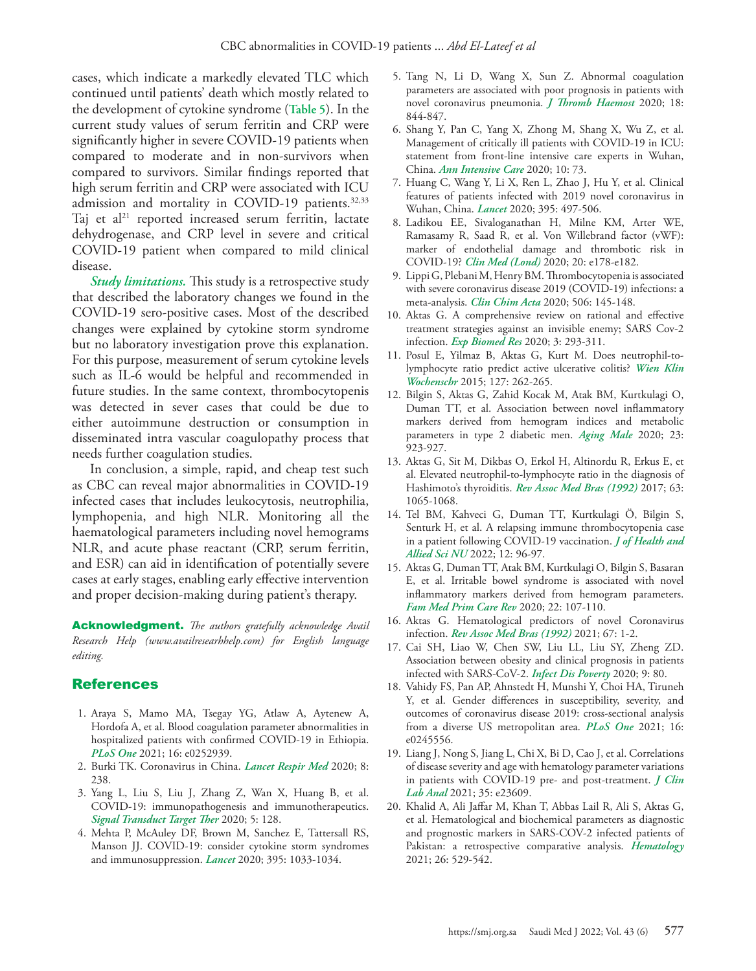cases, which indicate a markedly elevated TLC which continued until patients' death which mostly related to the development of cytokine syndrome (**Table 5**). In the current study values of serum ferritin and CRP were significantly higher in severe COVID-19 patients when compared to moderate and in non-survivors when compared to survivors. Similar findings reported that high serum ferritin and CRP were associated with ICU admission and mortality in COVID-19 patients.<sup>32,[33](#page-6-9)</sup> Taj et al $21$  reported increased serum ferritin, lactate dehydrogenase, and CRP level in severe and critical COVID-19 patient when compared to mild clinical disease.

*Study limitations.* This study is a retrospective study that described the laboratory changes we found in the COVID-19 sero-positive cases. Most of the described changes were explained by cytokine storm syndrome but no laboratory investigation prove this explanation. For this purpose, measurement of serum cytokine levels such as IL-6 would be helpful and recommended in future studies. In the same context, thrombocytopenis was detected in sever cases that could be due to either autoimmune destruction or consumption in disseminated intra vascular coagulopathy process that needs further coagulation studies.

In conclusion, a simple, rapid, and cheap test such as CBC can reveal major abnormalities in COVID-19 infected cases that includes leukocytosis, neutrophilia, lymphopenia, and high NLR. Monitoring all the haematological parameters including novel hemograms NLR, and acute phase reactant (CRP, serum ferritin, and ESR) can aid in identification of potentially severe cases at early stages, enabling early effective intervention and proper decision-making during patient's therapy.

Acknowledgment. *The authors gratefully acknowledge Avail Research Help (www.availresearhhelp.com) for English language editing.*

### References

- <span id="page-5-0"></span> 1. [Araya S, Mamo MA, Tsegay YG, Atlaw A, Aytenew A,](https://pubmed.ncbi.nlm.nih.gov/34153056/)  [Hordofa A, et al. Blood coagulation parameter abnormalities in](https://pubmed.ncbi.nlm.nih.gov/34153056/)  [hospitalized patients with confirmed COVID-19 in Ethiopia.](https://pubmed.ncbi.nlm.nih.gov/34153056/)  *PLoS One* [2021; 16: e0252939.](https://pubmed.ncbi.nlm.nih.gov/34153056/)
- <span id="page-5-1"></span> 2. [Burki TK. Coronavirus in China.](https://pubmed.ncbi.nlm.nih.gov/32027848/) *Lancet Respir Med* 2020; 8: [238.](https://pubmed.ncbi.nlm.nih.gov/32027848/)
- <span id="page-5-2"></span> 3. [Yang L, Liu S, Liu J, Zhang Z, Wan X, Huang B, et al.](https://pubmed.ncbi.nlm.nih.gov/32712629/)  [COVID-19: immunopathogenesis and immunotherapeutics.](https://pubmed.ncbi.nlm.nih.gov/32712629/)  *[Signal Transduct Target Ther](https://pubmed.ncbi.nlm.nih.gov/32712629/)* 2020; 5: 128.
- <span id="page-5-3"></span> 4. [Mehta P, McAuley DF, Brown M, Sanchez E, Tattersall RS,](https://pubmed.ncbi.nlm.nih.gov/32192578/)  [Manson JJ. COVID-19: consider cytokine storm syndromes](https://pubmed.ncbi.nlm.nih.gov/32192578/)  [and immunosuppression.](https://pubmed.ncbi.nlm.nih.gov/32192578/) *Lancet* 2020; 395: 1033-1034.
- <span id="page-5-4"></span> 5. [Tang N, Li D, Wang X, Sun Z. Abnormal coagulation](https://pubmed.ncbi.nlm.nih.gov/32073213/)  [parameters are associated with poor prognosis in patients with](https://pubmed.ncbi.nlm.nih.gov/32073213/)  [novel coronavirus pneumonia.](https://pubmed.ncbi.nlm.nih.gov/32073213/) *J Thromb Haemost* 2020; 18: [844-847.](https://pubmed.ncbi.nlm.nih.gov/32073213/)
- 6. [Shang Y, Pan C, Yang X, Zhong M, Shang X, Wu Z, et al.](https://pubmed.ncbi.nlm.nih.gov/32506258/)  [Management of critically ill patients with COVID-19 in ICU:](https://pubmed.ncbi.nlm.nih.gov/32506258/)  [statement from front-line intensive care experts in Wuhan,](https://pubmed.ncbi.nlm.nih.gov/32506258/)  China. *[Ann Intensive Care](https://pubmed.ncbi.nlm.nih.gov/32506258/)* 2020; 10: 73.
- <span id="page-5-5"></span> 7. [Huang C, Wang Y, Li X, Ren L, Zhao J, Hu Y, et al. Clinical](https://pubmed.ncbi.nlm.nih.gov/31986264/)  [features of patients infected with 2019 novel coronavirus in](https://pubmed.ncbi.nlm.nih.gov/31986264/)  Wuhan, China. *Lancet* [2020; 395: 497-506.](https://pubmed.ncbi.nlm.nih.gov/31986264/)
- <span id="page-5-6"></span> 8. [Ladikou EE, Sivaloganathan H, Milne KM, Arter WE,](https://pubmed.ncbi.nlm.nih.gov/32694169/)  [Ramasamy R, Saad R, et al. Von Willebrand factor \(vWF\):](https://pubmed.ncbi.nlm.nih.gov/32694169/)  [marker of endothelial damage and thrombotic risk in](https://pubmed.ncbi.nlm.nih.gov/32694169/)  COVID-19? *Clin Med (Lond)* [2020; 20: e178-e182.](https://pubmed.ncbi.nlm.nih.gov/32694169/)
- <span id="page-5-7"></span> 9. [Lippi G, Plebani M, Henry BM. Thrombocytopenia is associated](https://pubmed.ncbi.nlm.nih.gov/32178975/)  [with severe coronavirus disease 2019 \(COVID-19\) infections: a](https://pubmed.ncbi.nlm.nih.gov/32178975/)  meta-analysis. *Clin Chim Acta* [2020; 506: 145-148.](https://pubmed.ncbi.nlm.nih.gov/32178975/)
- <span id="page-5-8"></span>10. [Aktas G. A comprehensive review on rational and effective](https://experimentalbiomedicalresearch.com/ojs/index.php/ebr/article/view/142/82)  [treatment strategies against an invisible enemy; SARS Cov-2](https://experimentalbiomedicalresearch.com/ojs/index.php/ebr/article/view/142/82)  infection. *Exp Biomed Res* [2020; 3: 293-311.](https://experimentalbiomedicalresearch.com/ojs/index.php/ebr/article/view/142/82)
- <span id="page-5-9"></span>11. [Posul E, Yilmaz B, Aktas G, Kurt M. Does neutrophil-to](https://pubmed.ncbi.nlm.nih.gov/25576331/)[lymphocyte ratio predict active ulcerative colitis?](https://pubmed.ncbi.nlm.nih.gov/25576331/) *Wien Klin Wochenschr* [2015; 127: 262-265.](https://pubmed.ncbi.nlm.nih.gov/25576331/)
- <span id="page-5-10"></span>12. [Bilgin S, Aktas G, Zahid Kocak M, Atak BM, Kurtkulagi O,](https://pubmed.ncbi.nlm.nih.gov/31250688/)  [Duman TT, et al. Association between novel inflammatory](https://pubmed.ncbi.nlm.nih.gov/31250688/)  [markers derived from hemogram indices and metabolic](https://pubmed.ncbi.nlm.nih.gov/31250688/)  [parameters in type 2 diabetic men.](https://pubmed.ncbi.nlm.nih.gov/31250688/) *Aging Male* 2020; 23: [923-927.](https://pubmed.ncbi.nlm.nih.gov/31250688/)
- <span id="page-5-13"></span>13. [Aktas G, Sit M, Dikbas O, Erkol H, Altinordu R, Erkus E, et](https://pubmed.ncbi.nlm.nih.gov/29489971/)  [al. Elevated neutrophil-to-lymphocyte ratio in the diagnosis of](https://pubmed.ncbi.nlm.nih.gov/29489971/)  Hashimoto's thyroiditis. *[Rev Assoc Med Bras \(1992\)](https://pubmed.ncbi.nlm.nih.gov/29489971/)* 2017; 63: [1065-1068.](https://pubmed.ncbi.nlm.nih.gov/29489971/)
- <span id="page-5-11"></span>14. [Tel BM, Kahveci G, Duman TT, Kurtkulagi Ö, Bilgin S,](https://www.thieme-connect.de/products/ejournals/abstract/10.1055/s-0041-1731915)  [Senturk H, et al. A relapsing immune thrombocytopenia case](https://www.thieme-connect.de/products/ejournals/abstract/10.1055/s-0041-1731915)  [in a patient following COVID-19 vaccination.](https://www.thieme-connect.de/products/ejournals/abstract/10.1055/s-0041-1731915) *J of Health and Allied Sci NU* [2022; 12: 96-97.](https://www.thieme-connect.de/products/ejournals/abstract/10.1055/s-0041-1731915)
- <span id="page-5-12"></span>15. [Aktas G, Duman TT, Atak BM, Kurtkulagi O, Bilgin S, Basaran](https://www.termedia.pl/Irritable-bowel-syndrome-is-associated-with-novel-inflammatory-markers-derived-from-hemogram-parameters,95,40650,0,1.html)  [E, et al. Irritable bowel syndrome is associated with novel](https://www.termedia.pl/Irritable-bowel-syndrome-is-associated-with-novel-inflammatory-markers-derived-from-hemogram-parameters,95,40650,0,1.html)  [inflammatory markers derived from hemogram parameters.](https://www.termedia.pl/Irritable-bowel-syndrome-is-associated-with-novel-inflammatory-markers-derived-from-hemogram-parameters,95,40650,0,1.html)  *[Fam Med Prim Care Rev](https://www.termedia.pl/Irritable-bowel-syndrome-is-associated-with-novel-inflammatory-markers-derived-from-hemogram-parameters,95,40650,0,1.html)* 2020; 22: 107-110.
- <span id="page-5-14"></span>16. [Aktas G. Hematological predictors of novel Coronavirus](https://pubmed.ncbi.nlm.nih.gov/34259763/)  infection. *[Rev Assoc Med Bras \(1992\)](https://pubmed.ncbi.nlm.nih.gov/34259763/)* 2021; 67: 1-2.
- <span id="page-5-15"></span>17. [Cai SH, Liao W, Chen SW, Liu LL, Liu SY, Zheng ZD.](https://pubmed.ncbi.nlm.nih.gov/32600411/)  [Association between obesity and clinical prognosis in patients](https://pubmed.ncbi.nlm.nih.gov/32600411/)  [infected with SARS-CoV-2.](https://pubmed.ncbi.nlm.nih.gov/32600411/) *Infect Dis Poverty* 2020; 9: 80.
- <span id="page-5-16"></span>18. [Vahidy FS, Pan AP, Ahnstedt H, Munshi Y, Choi HA, Tiruneh](https://pubmed.ncbi.nlm.nih.gov/33439908/)  [Y, et al. Gender differences in susceptibility, severity, and](https://pubmed.ncbi.nlm.nih.gov/33439908/)  [outcomes of coronavirus disease 2019: cross-sectional analysis](https://pubmed.ncbi.nlm.nih.gov/33439908/)  [from a diverse US metropolitan area.](https://pubmed.ncbi.nlm.nih.gov/33439908/) *PLoS One* 2021; 16: [e0245556.](https://pubmed.ncbi.nlm.nih.gov/33439908/)
- <span id="page-5-17"></span>19. [Liang J, Nong S, Jiang L, Chi X, Bi D, Cao J, et al. Correlations](https://pubmed.ncbi.nlm.nih.gov/33222271/)  [of disease severity and age with hematology parameter variations](https://pubmed.ncbi.nlm.nih.gov/33222271/)  [in patients with COVID-19 pre- and post-treatment.](https://pubmed.ncbi.nlm.nih.gov/33222271/) *J Clin Lab Anal* [2021; 35: e23609.](https://pubmed.ncbi.nlm.nih.gov/33222271/)
- <span id="page-5-18"></span>20. [Khalid A, Ali Jaffar M, Khan T, Abbas Lail R, Ali S, Aktas G,](https://pubmed.ncbi.nlm.nih.gov/34334100/)  [et al. Hematological and biochemical parameters as diagnostic](https://pubmed.ncbi.nlm.nih.gov/34334100/)  [and prognostic markers in SARS-COV-2 infected patients of](https://pubmed.ncbi.nlm.nih.gov/34334100/)  [Pakistan: a retrospective comparative analysis.](https://pubmed.ncbi.nlm.nih.gov/34334100/) *Hematology* [2021; 26: 529-542.](https://pubmed.ncbi.nlm.nih.gov/34334100/)